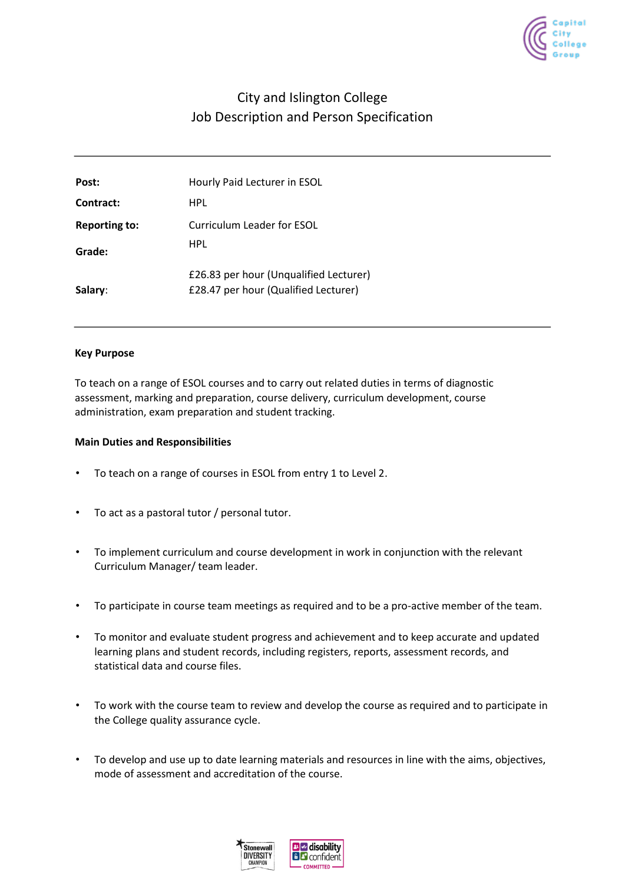

# City and Islington College Job Description and Person Specification

| Post:                | Hourly Paid Lecturer in ESOL                                                   |
|----------------------|--------------------------------------------------------------------------------|
| Contract:            | HPL                                                                            |
| <b>Reporting to:</b> | Curriculum Leader for ESOL<br>HPL                                              |
| Grade:               |                                                                                |
| Salary:              | £26.83 per hour (Unqualified Lecturer)<br>£28.47 per hour (Qualified Lecturer) |
|                      |                                                                                |

### **Key Purpose**

To teach on a range of ESOL courses and to carry out related duties in terms of diagnostic assessment, marking and preparation, course delivery, curriculum development, course administration, exam preparation and student tracking.

### **Main Duties and Responsibilities**

- To teach on a range of courses in ESOL from entry 1 to Level 2.
- To act as a pastoral tutor / personal tutor.
- To implement curriculum and course development in work in conjunction with the relevant Curriculum Manager/ team leader.
- To participate in course team meetings as required and to be a pro-active member of the team.
- To monitor and evaluate student progress and achievement and to keep accurate and updated learning plans and student records, including registers, reports, assessment records, and statistical data and course files.
- To work with the course team to review and develop the course as required and to participate in the College quality assurance cycle.
- To develop and use up to date learning materials and resources in line with the aims, objectives, mode of assessment and accreditation of the course.

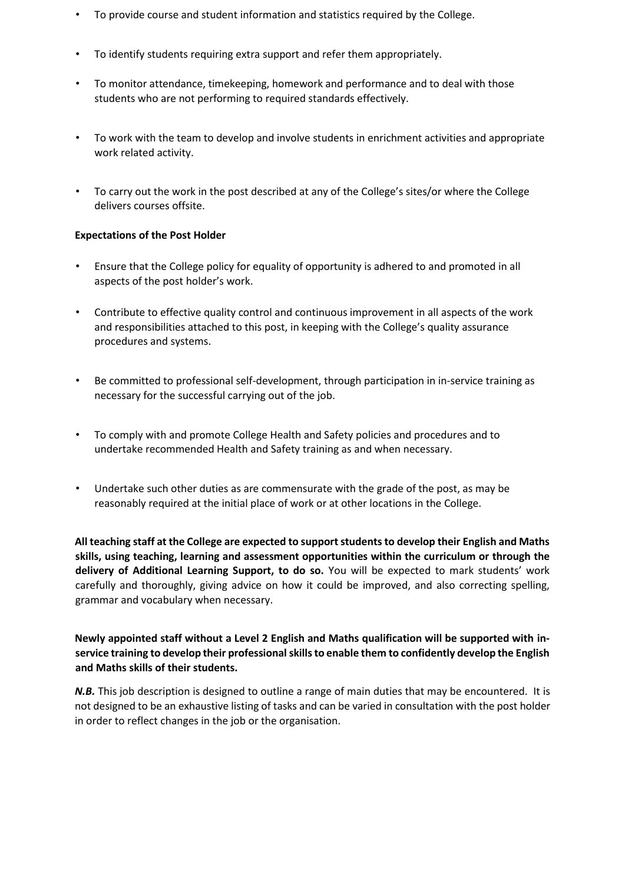- To provide course and student information and statistics required by the College.
- To identify students requiring extra support and refer them appropriately.
- To monitor attendance, timekeeping, homework and performance and to deal with those students who are not performing to required standards effectively.
- To work with the team to develop and involve students in enrichment activities and appropriate work related activity.
- To carry out the work in the post described at any of the College's sites/or where the College delivers courses offsite.

## **Expectations of the Post Holder**

- Ensure that the College policy for equality of opportunity is adhered to and promoted in all aspects of the post holder's work.
- Contribute to effective quality control and continuous improvement in all aspects of the work and responsibilities attached to this post, in keeping with the College's quality assurance procedures and systems.
- Be committed to professional self-development, through participation in in-service training as necessary for the successful carrying out of the job.
- To comply with and promote College Health and Safety policies and procedures and to undertake recommended Health and Safety training as and when necessary.
- Undertake such other duties as are commensurate with the grade of the post, as may be reasonably required at the initial place of work or at other locations in the College.

**All teaching staff at the College are expected to support students to develop their English and Maths skills, using teaching, learning and assessment opportunities within the curriculum or through the delivery of Additional Learning Support, to do so.** You will be expected to mark students' work carefully and thoroughly, giving advice on how it could be improved, and also correcting spelling, grammar and vocabulary when necessary.

**Newly appointed staff without a Level 2 English and Maths qualification will be supported with inservice training to develop their professional skills to enable them to confidently develop the English and Maths skills of their students.** 

*N.B.* This job description is designed to outline a range of main duties that may be encountered. It is not designed to be an exhaustive listing of tasks and can be varied in consultation with the post holder in order to reflect changes in the job or the organisation.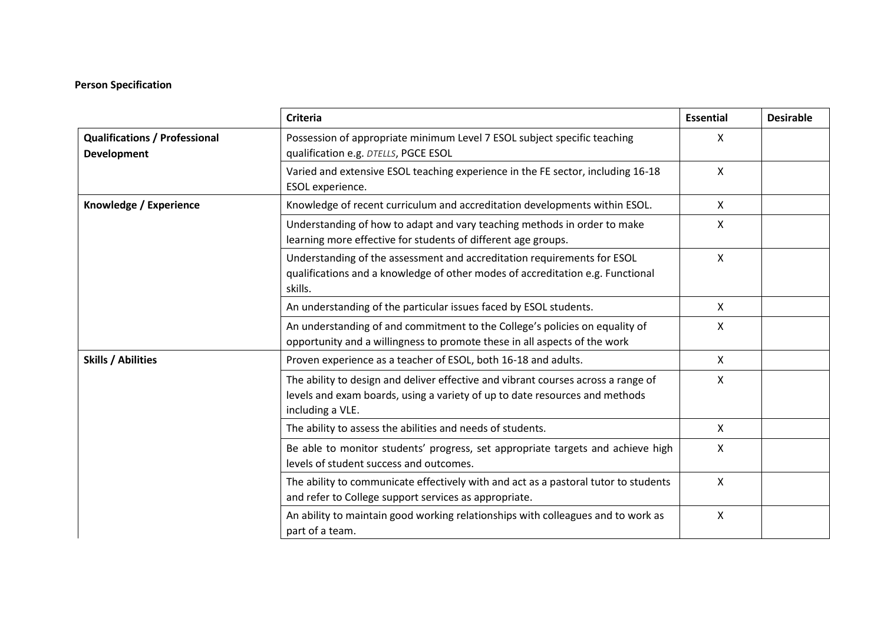# **Person Specification**

|                                                            | <b>Criteria</b>                                                                                                                                                                      | <b>Essential</b> | <b>Desirable</b> |
|------------------------------------------------------------|--------------------------------------------------------------------------------------------------------------------------------------------------------------------------------------|------------------|------------------|
| <b>Qualifications / Professional</b><br><b>Development</b> | Possession of appropriate minimum Level 7 ESOL subject specific teaching<br>qualification e.g. DTELLS, PGCE ESOL                                                                     | X                |                  |
|                                                            | Varied and extensive ESOL teaching experience in the FE sector, including 16-18<br>ESOL experience.                                                                                  | $\mathsf{X}$     |                  |
| Knowledge / Experience                                     | Knowledge of recent curriculum and accreditation developments within ESOL.                                                                                                           | $\mathsf{X}$     |                  |
|                                                            | Understanding of how to adapt and vary teaching methods in order to make<br>learning more effective for students of different age groups.                                            | X                |                  |
|                                                            | Understanding of the assessment and accreditation requirements for ESOL<br>qualifications and a knowledge of other modes of accreditation e.g. Functional<br>skills.                 | $\mathsf{X}$     |                  |
|                                                            | An understanding of the particular issues faced by ESOL students.                                                                                                                    | X                |                  |
|                                                            | An understanding of and commitment to the College's policies on equality of<br>opportunity and a willingness to promote these in all aspects of the work                             | $\mathsf{X}$     |                  |
| <b>Skills / Abilities</b>                                  | Proven experience as a teacher of ESOL, both 16-18 and adults.                                                                                                                       | $\mathsf{X}$     |                  |
|                                                            | The ability to design and deliver effective and vibrant courses across a range of<br>levels and exam boards, using a variety of up to date resources and methods<br>including a VLE. | X                |                  |
|                                                            | The ability to assess the abilities and needs of students.                                                                                                                           | X                |                  |
|                                                            | Be able to monitor students' progress, set appropriate targets and achieve high<br>levels of student success and outcomes.                                                           | $\mathsf{X}$     |                  |
|                                                            | The ability to communicate effectively with and act as a pastoral tutor to students<br>and refer to College support services as appropriate.                                         | X                |                  |
|                                                            | An ability to maintain good working relationships with colleagues and to work as<br>part of a team.                                                                                  | X                |                  |